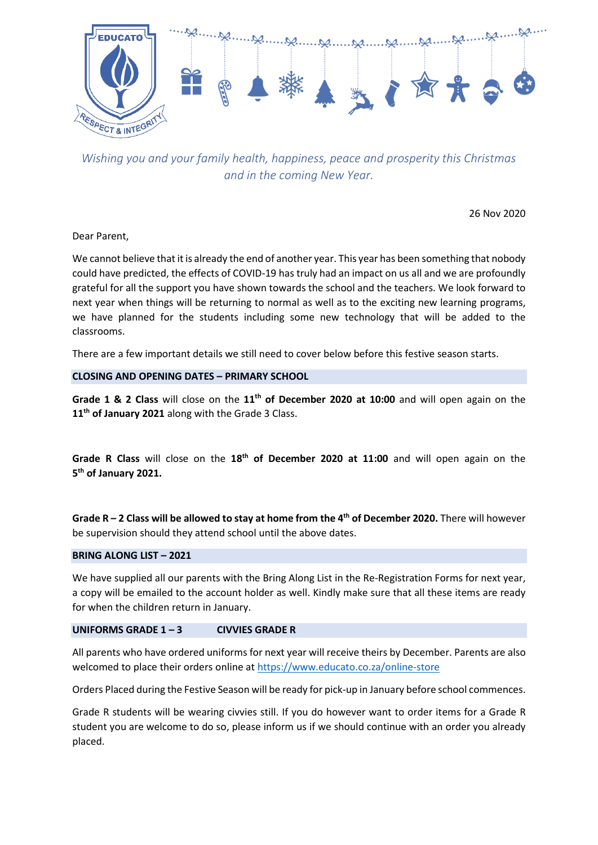

*Wishing you and your family health, happiness, peace and prosperity this Christmas and in the coming New Year.*

26 Nov 2020

Dear Parent,

We cannot believe that it is already the end of another year. This year has been something that nobody could have predicted, the effects of COVID-19 has truly had an impact on us all and we are profoundly grateful for all the support you have shown towards the school and the teachers. We look forward to next year when things will be returning to normal as well as to the exciting new learning programs, we have planned for the students including some new technology that will be added to the classrooms.

There are a few important details we still need to cover below before this festive season starts.

# **CLOSING AND OPENING DATES – PRIMARY SCHOOL**

**Grade 1 & 2 Class** will close on the **11th of December 2020 at 10:00** and will open again on the **11th of January 2021** along with the Grade 3 Class.

**Grade R Class** will close on the **18th of December 2020 at 11:00** and will open again on the **5 th of January 2021.**

**Grade R – 2 Class will be allowed to stay at home from the 4th of December 2020.** There will however be supervision should they attend school until the above dates.

# **BRING ALONG LIST – 2021**

We have supplied all our parents with the Bring Along List in the Re-Registration Forms for next year, a copy will be emailed to the account holder as well. Kindly make sure that all these items are ready for when the children return in January.

# **UNIFORMS GRADE 1 – 3 CIVVIES GRADE R**

All parents who have ordered uniforms for next year will receive theirs by December. Parents are also welcomed to place their orders online at<https://www.educato.co.za/online-store>

Orders Placed during the Festive Season will be ready for pick-up in January before school commences.

Grade R students will be wearing civvies still. If you do however want to order items for a Grade R student you are welcome to do so, please inform us if we should continue with an order you already placed.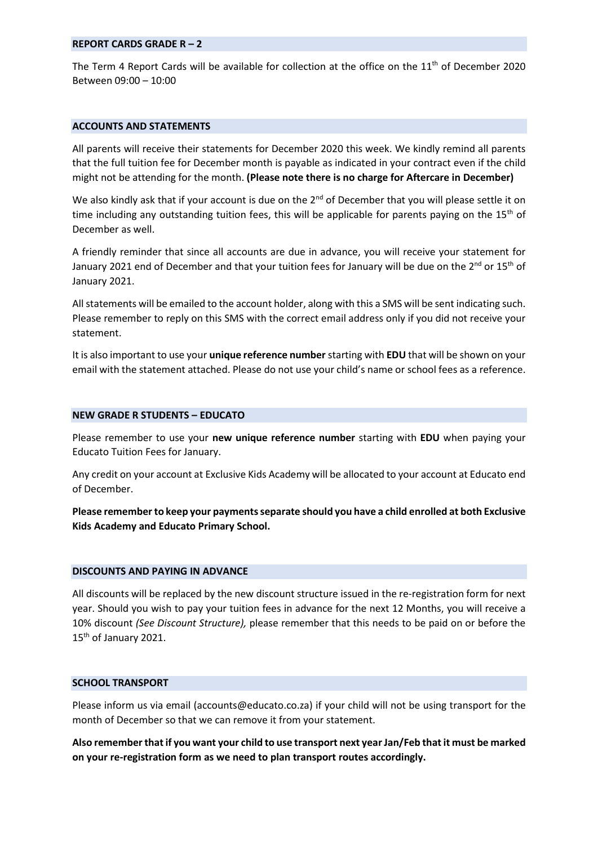#### **REPORT CARDS GRADE R – 2**

The Term 4 Report Cards will be available for collection at the office on the  $11<sup>th</sup>$  of December 2020 Between 09:00 – 10:00

# **ACCOUNTS AND STATEMENTS**

All parents will receive their statements for December 2020 this week. We kindly remind all parents that the full tuition fee for December month is payable as indicated in your contract even if the child might not be attending for the month. **(Please note there is no charge for Aftercare in December)**

We also kindly ask that if your account is due on the  $2<sup>nd</sup>$  of December that you will please settle it on time including any outstanding tuition fees, this will be applicable for parents paying on the  $15<sup>th</sup>$  of December as well.

A friendly reminder that since all accounts are due in advance, you will receive your statement for January 2021 end of December and that your tuition fees for January will be due on the  $2^{nd}$  or 15<sup>th</sup> of January 2021.

All statements will be emailed to the account holder, along with this a SMS will be sent indicating such. Please remember to reply on this SMS with the correct email address only if you did not receive your statement.

It is also important to use your **unique reference number** starting with **EDU** that will be shown on your email with the statement attached. Please do not use your child's name or school fees as a reference.

### **NEW GRADE R STUDENTS – EDUCATO**

Please remember to use your **new unique reference number** starting with **EDU** when paying your Educato Tuition Fees for January.

Any credit on your account at Exclusive Kids Academy will be allocated to your account at Educato end of December.

**Please remember to keep your payments separate should you have a child enrolled at both Exclusive Kids Academy and Educato Primary School.**

#### **DISCOUNTS AND PAYING IN ADVANCE**

All discounts will be replaced by the new discount structure issued in the re-registration form for next year. Should you wish to pay your tuition fees in advance for the next 12 Months, you will receive a 10% discount *(See Discount Structure),* please remember that this needs to be paid on or before the 15<sup>th</sup> of January 2021.

## **SCHOOL TRANSPORT**

Please inform us via email (accounts@educato.co.za) if your child will not be using transport for the month of December so that we can remove it from your statement.

**Also remember that if you want your child to use transport next year Jan/Feb that it must be marked on your re-registration form as we need to plan transport routes accordingly.**